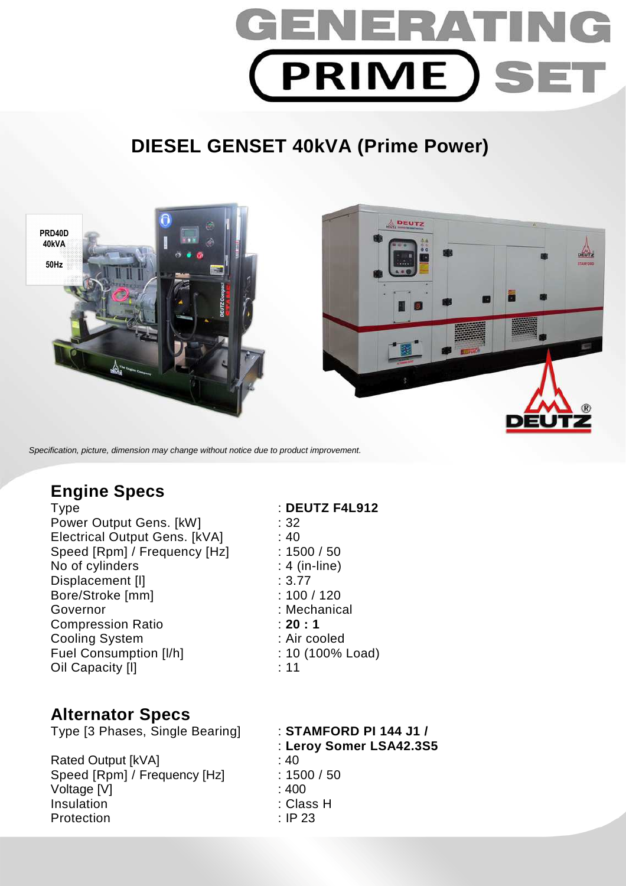

# **DIESEL GENSET 40kVA (Prime Power)**



Specification, picture, dimension may change without notice due to product improvement.

## **Engine Specs**

Type : **DEUTZ F4L912**  Power Output Gens. [kW] : 32 Electrical Output Gens. [kVA] : 40 Speed [Rpm] / Frequency [Hz] : 1500 / 50 No of cylinders : 4 (in-line) Displacement [I]  $\qquad \qquad$  : 3.77 Bore/Stroke [mm] : 100 / 120 Governor : Mechanical Compression Ratio : **20 : 1**  Cooling System : Air cooled Fuel Consumption [I/h] : 10 (100% Load) Oil Capacity [I] **11** : 11

## **Alternator Specs**

Type [3 Phases, Single Bearing] : **STAMFORD PI 144 J1 /** 

Rated Output [kVA] : 40 Speed [Rpm] / Frequency [Hz] : 1500 / 50 Voltage [V] : 400 Insulation : Class H Protection : IP 23

: **Leroy Somer LSA42.3S5**